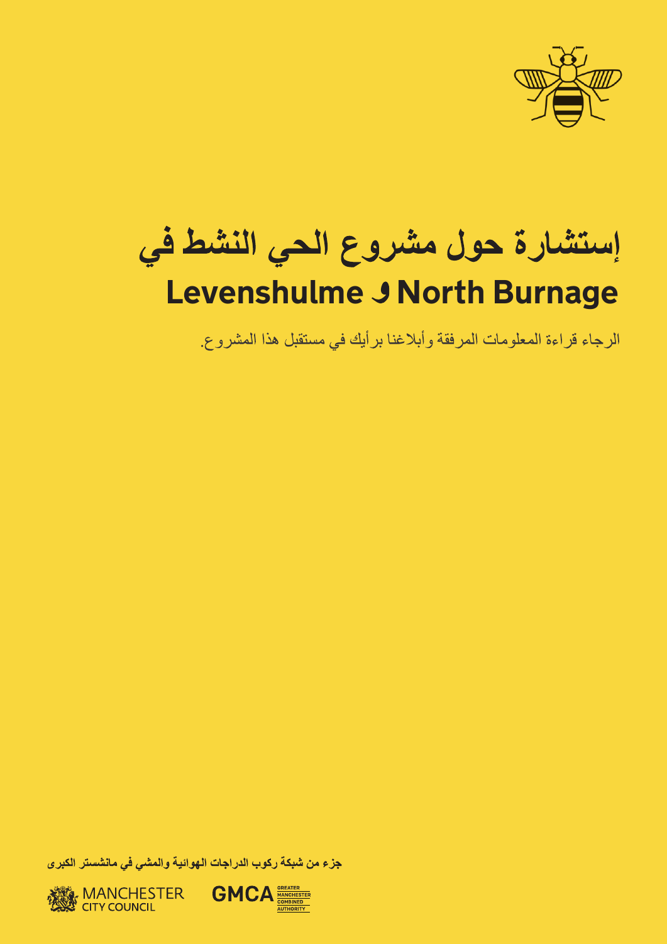

## إستشارة حول مشروع الحي النشط في **Levenshulme J North Burnage**

الرجاء قراءة المعلومات المرفقة وأبلاغنا برأيك في مستقبل هذا المشروع.

جزء من شبكة ركوب الدراجات الهوائية والمشي في مانشستر الكبرى

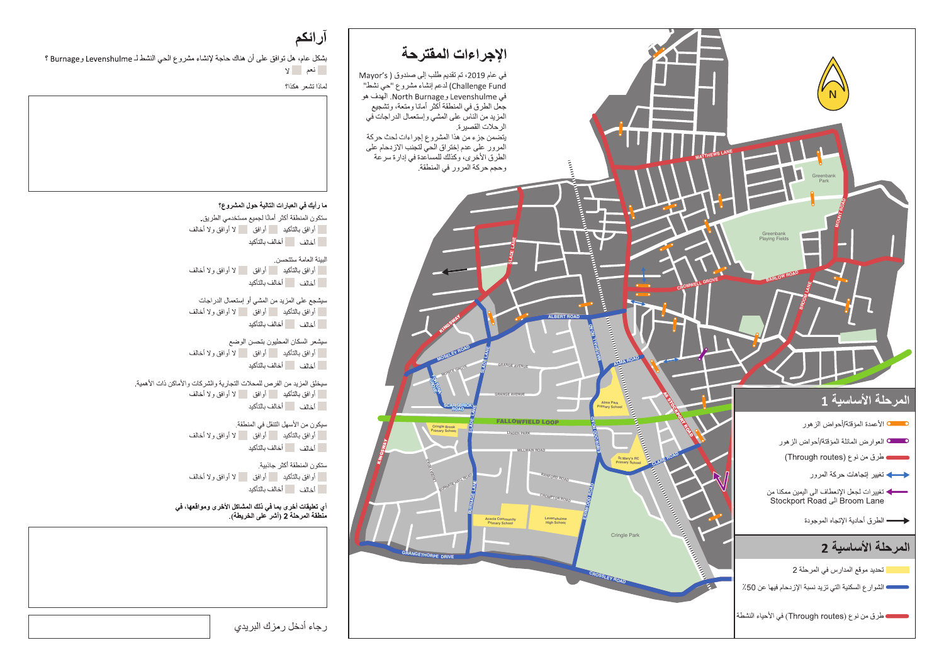